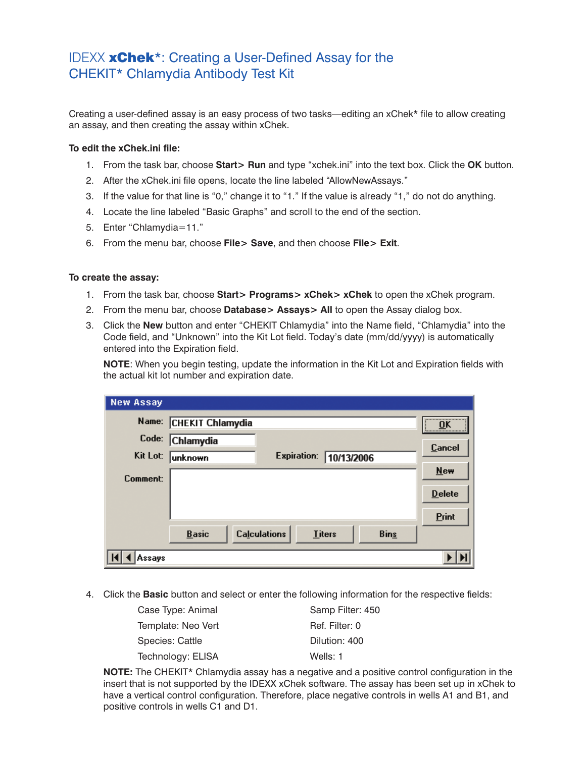## IDEXX xChek\*: Creating a User-Defined Assay for the CHEKIT\* Chlamydia Antibody Test Kit

Creating a user-defined assay is an easy process of two tasks—editing an xChek\* file to allow creating an assay, and then creating the assay within xChek.

## **To edit the xChek.ini file:**

- 1. From the task bar, choose **Start> Run** and type "xchek.ini" into the text box. Click the **OK** button.
- 2. After the xChek.ini file opens, locate the line labeled "AllowNewAssays."
- 3. If the value for that line is "0," change it to "1." If the value is already "1," do not do anything.
- 4. Locate the line labeled "Basic Graphs" and scroll to the end of the section.
- 5. Enter "Chlamydia=11."
- 6. From the menu bar, choose **File> Save**, and then choose **File> Exit**.

## **To create the assay:**

- 1. From the task bar, choose **Start> Programs> xChek> xChek** to open the xChek program.
- 2. From the menu bar, choose **Database> Assays> All** to open the Assay dialog box.
- 3. Click the **New** button and enter "CHEKIT Chlamydia" into the Name field, "Chlamydia" into the Code field, and "Unknown" into the Kit Lot field. Today's date (mm/dd/yyyy) is automatically entered into the Expiration field.

**NOTE:** When you begin testing, update the information in the Kit Lot and Expiration fields with the actual kit lot number and expiration date.

| <b>New Assay</b> |                         |                     |               |             |               |
|------------------|-------------------------|---------------------|---------------|-------------|---------------|
| Name:            | <b>CHEKIT Chlamydia</b> |                     |               |             | <br>OK<br>    |
| Code:            | <b>Chlamydia</b>        |                     |               |             | <b>Cancel</b> |
| Kit Lot:         | unknown                 | <b>Expiration:</b>  | 10/13/2006    |             |               |
| Comment:         |                         |                     |               |             | $New$         |
|                  |                         |                     |               |             | <b>Delete</b> |
|                  |                         |                     |               |             | Print         |
|                  | <b>Basic</b>            | <b>Calculations</b> | <b>Titers</b> | <b>Bins</b> |               |
| ssays)           |                         |                     |               |             |               |

4. Click the **Basic** button and select or enter the following information for the respective fields:

| Case Type: Animal  | Samp Filter: 450 |
|--------------------|------------------|
| Template: Neo Vert | Ref. Filter: 0   |
| Species: Cattle    | Dilution: 400    |
| Technology: ELISA  | Wells: 1         |

**NOTE:** The CHEKIT\* Chlamydia assay has a negative and a positive control configuration in the insert that is not supported by the IDEXX xChek software. The assay has been set up in xChek to have a vertical control configuration. Therefore, place negative controls in wells A1 and B1, and positive controls in wells C1 and D1.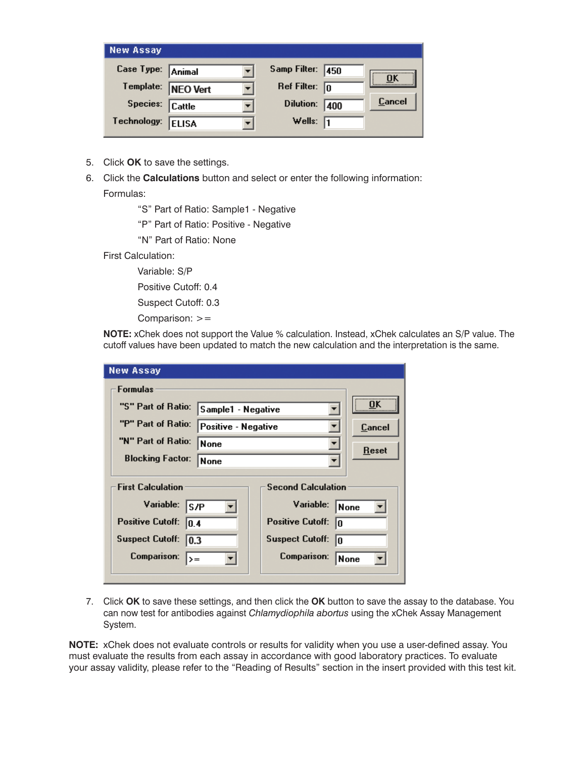| <b>New Assay</b>    |              |                         |     |        |
|---------------------|--------------|-------------------------|-----|--------|
| Case Type: Animal   |              | Samp Filter: 450        |     | ΠK     |
| Template:  NEO Vert |              | Ref Filter: $\boxed{0}$ |     |        |
| Species: Cattle     |              | <b>Dilution:</b>        | 400 | Cancel |
| Technology:         | <b>ELISA</b> | Wells: $\sqrt{1}$       |     |        |

- 5. Click **OK** to save the settings.
- 6. Click the **Calculations** button and select or enter the following information: Formulas:

"S" Part of Ratio: Sample1 - Negative

"P" Part of Ratio: Positive - Negative

"N" Part of Ratio: None

First Calculation:

Variable: S/P

Positive Cutoff: 0.4

Suspect Cutoff: 0.3

Comparison: >=

**NOTE:** xChek does not support the Value % calculation. Instead, xChek calculates an S/P value. The cutoff values have been updated to match the new calculation and the interpretation is the same.

| <b>New Assay</b>                          |                    |                               |             |
|-------------------------------------------|--------------------|-------------------------------|-------------|
| <b>Formulas</b>                           |                    |                               |             |
| "S" Part of Ratio:                        | Sample1 - Negative |                               | <br>ΩK      |
| "P" Part of Ratio:<br>Positive - Negative |                    |                               | Cancel      |
| "N" Part of Ratio:                        | <b>None</b>        | ▼                             |             |
| <b>Blocking Factor:</b><br><b>None</b>    |                    |                               | Reset       |
|                                           |                    |                               |             |
| <b>First Calculation</b>                  |                    | <b>Second Calculation</b>     |             |
| Variable:<br>ls/P                         |                    | Variable:                     | <b>None</b> |
| <b>Positive Cutoff:</b><br> 0.4           |                    | <b>Positive Cutoff:</b><br>١O |             |
| Suspect Cutoff: 0.3                       |                    | <b>Suspect Cutoff:</b><br>10  |             |
| Comparison:<br>$\rangle =$                |                    | Comparison:                   | None        |
|                                           |                    |                               |             |

7. Click **OK** to save these settings, and then click the **OK** button to save the assay to the database. You can now test for antibodies against *Chlamydiophila abortus* using the xChek Assay Management System.

**NOTE:** xChek does not evaluate controls or results for validity when you use a user-defined assay. You must evaluate the results from each assay in accordance with good laboratory practices. To evaluate your assay validity, please refer to the "Reading of Results" section in the insert provided with this test kit.